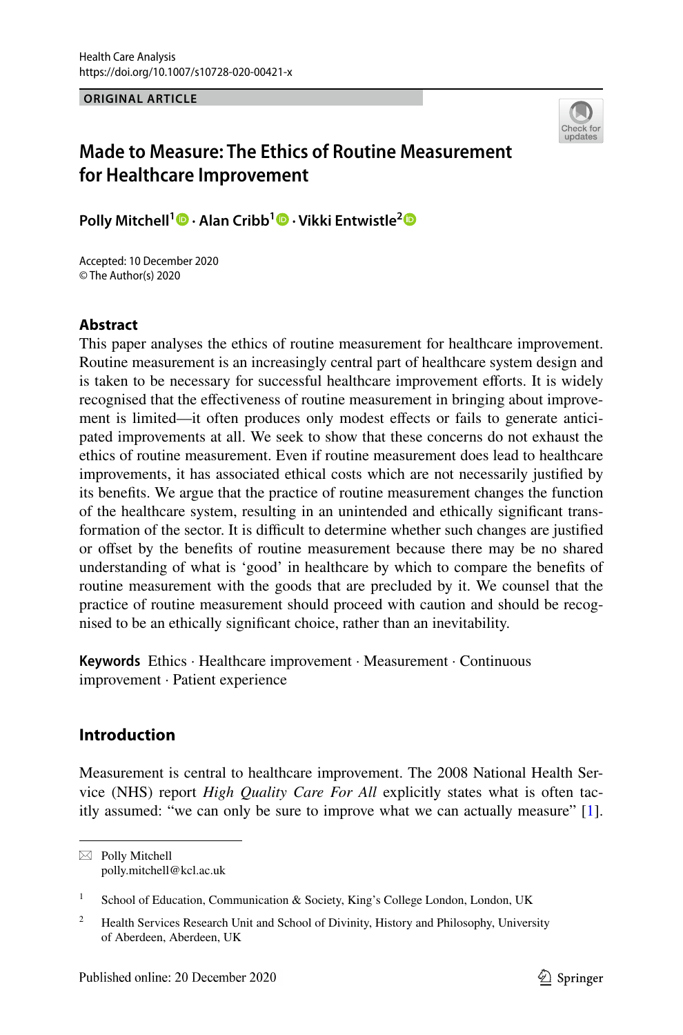**ORIGINAL ARTICLE**



# **Made to Measure: The Ethics of Routine Measurement for Healthcare Improvement**

**Polly Mitchell1  [·](http://orcid.org/0000-0001-7680-0264) Alan Cribb1 · Vikki Entwistle[2](http://orcid.org/0000-0002-0856-4025)**

Accepted: 10 December 2020 © The Author(s) 2020

## **Abstract**

This paper analyses the ethics of routine measurement for healthcare improvement. Routine measurement is an increasingly central part of healthcare system design and is taken to be necessary for successful healthcare improvement eforts. It is widely recognised that the efectiveness of routine measurement in bringing about improvement is limited—it often produces only modest efects or fails to generate anticipated improvements at all. We seek to show that these concerns do not exhaust the ethics of routine measurement. Even if routine measurement does lead to healthcare improvements, it has associated ethical costs which are not necessarily justifed by its benefts. We argue that the practice of routine measurement changes the function of the healthcare system, resulting in an unintended and ethically signifcant transformation of the sector. It is difficult to determine whether such changes are justified or ofset by the benefts of routine measurement because there may be no shared understanding of what is 'good' in healthcare by which to compare the benefts of routine measurement with the goods that are precluded by it. We counsel that the practice of routine measurement should proceed with caution and should be recognised to be an ethically signifcant choice, rather than an inevitability.

**Keywords** Ethics · Healthcare improvement · Measurement · Continuous improvement · Patient experience

## **Introduction**

Measurement is central to healthcare improvement. The 2008 National Health Service (NHS) report *High Quality Care For All* explicitly states what is often tacitly assumed: "we can only be sure to improve what we can actually measure" [[1\]](#page-17-0).

<sup>1</sup> School of Education, Communication & Society, King's College London, London, UK

 $\boxtimes$  Polly Mitchell polly.mitchell@kcl.ac.uk

<sup>&</sup>lt;sup>2</sup> Health Services Research Unit and School of Divinity, History and Philosophy, University of Aberdeen, Aberdeen, UK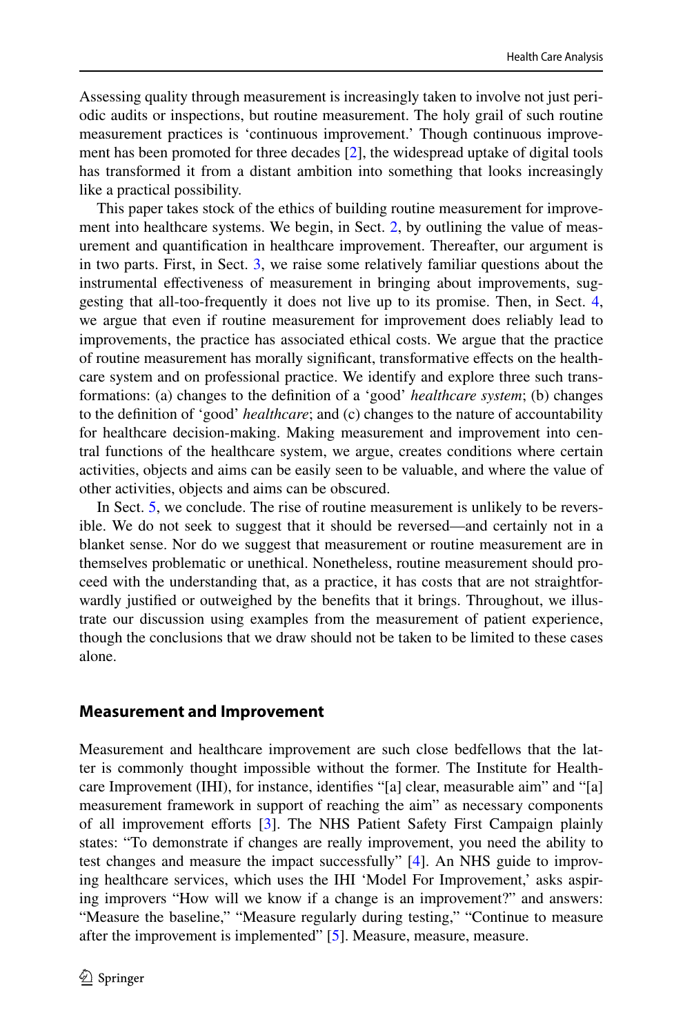Assessing quality through measurement is increasingly taken to involve not just periodic audits or inspections, but routine measurement. The holy grail of such routine measurement practices is 'continuous improvement.' Though continuous improvement has been promoted for three decades [[2\]](#page-17-1), the widespread uptake of digital tools has transformed it from a distant ambition into something that looks increasingly like a practical possibility.

This paper takes stock of the ethics of building routine measurement for improvement into healthcare systems. We begin, in Sect. [2](#page-1-0), by outlining the value of measurement and quantifcation in healthcare improvement. Thereafter, our argument is in two parts. First, in Sect. [3](#page-4-0), we raise some relatively familiar questions about the instrumental efectiveness of measurement in bringing about improvements, suggesting that all-too-frequently it does not live up to its promise. Then, in Sect. [4,](#page-7-0) we argue that even if routine measurement for improvement does reliably lead to improvements, the practice has associated ethical costs. We argue that the practice of routine measurement has morally signifcant, transformative efects on the healthcare system and on professional practice. We identify and explore three such transformations: (a) changes to the defnition of a 'good' *healthcare system*; (b) changes to the defnition of 'good' *healthcare*; and (c) changes to the nature of accountability for healthcare decision-making. Making measurement and improvement into central functions of the healthcare system, we argue, creates conditions where certain activities, objects and aims can be easily seen to be valuable, and where the value of other activities, objects and aims can be obscured.

In Sect. [5,](#page-9-0) we conclude. The rise of routine measurement is unlikely to be reversible. We do not seek to suggest that it should be reversed—and certainly not in a blanket sense. Nor do we suggest that measurement or routine measurement are in themselves problematic or unethical. Nonetheless, routine measurement should proceed with the understanding that, as a practice, it has costs that are not straightforwardly justifed or outweighed by the benefts that it brings. Throughout, we illustrate our discussion using examples from the measurement of patient experience, though the conclusions that we draw should not be taken to be limited to these cases alone.

#### <span id="page-1-0"></span>**Measurement and Improvement**

Measurement and healthcare improvement are such close bedfellows that the latter is commonly thought impossible without the former. The Institute for Healthcare Improvement (IHI), for instance, identifes "[a] clear, measurable aim" and "[a] measurement framework in support of reaching the aim" as necessary components of all improvement efforts [[3\]](#page-17-2). The NHS Patient Safety First Campaign plainly states: "To demonstrate if changes are really improvement, you need the ability to test changes and measure the impact successfully" [[4\]](#page-17-3). An NHS guide to improving healthcare services, which uses the IHI 'Model For Improvement,' asks aspiring improvers "How will we know if a change is an improvement?" and answers: "Measure the baseline," "Measure regularly during testing," "Continue to measure after the improvement is implemented" [[5\]](#page-17-4). Measure, measure, measure.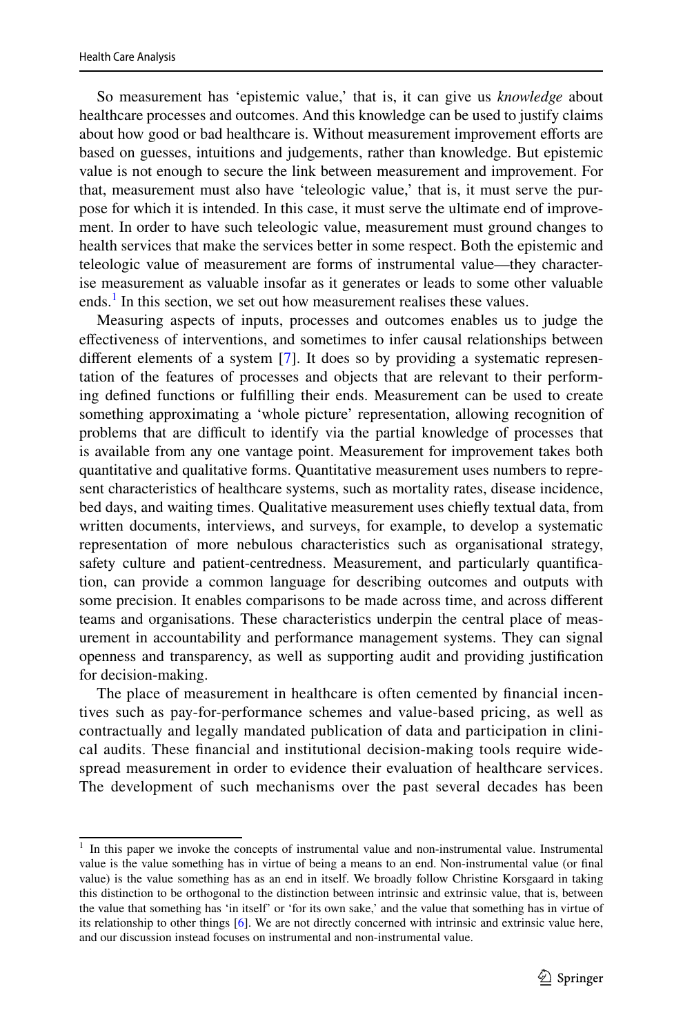So measurement has 'epistemic value,' that is, it can give us *knowledge* about healthcare processes and outcomes. And this knowledge can be used to justify claims about how good or bad healthcare is. Without measurement improvement efforts are based on guesses, intuitions and judgements, rather than knowledge. But epistemic value is not enough to secure the link between measurement and improvement. For that, measurement must also have 'teleologic value,' that is, it must serve the purpose for which it is intended. In this case, it must serve the ultimate end of improvement. In order to have such teleologic value, measurement must ground changes to health services that make the services better in some respect. Both the epistemic and teleologic value of measurement are forms of instrumental value—they characterise measurement as valuable insofar as it generates or leads to some other valuable ends.<sup>[1](#page-2-0)</sup> In this section, we set out how measurement realises these values.

Measuring aspects of inputs, processes and outcomes enables us to judge the efectiveness of interventions, and sometimes to infer causal relationships between diferent elements of a system [[7\]](#page-17-5). It does so by providing a systematic representation of the features of processes and objects that are relevant to their performing defned functions or fulflling their ends. Measurement can be used to create something approximating a 'whole picture' representation, allowing recognition of problems that are difcult to identify via the partial knowledge of processes that is available from any one vantage point. Measurement for improvement takes both quantitative and qualitative forms. Quantitative measurement uses numbers to represent characteristics of healthcare systems, such as mortality rates, disease incidence, bed days, and waiting times. Qualitative measurement uses chiefy textual data, from written documents, interviews, and surveys, for example, to develop a systematic representation of more nebulous characteristics such as organisational strategy, safety culture and patient-centredness. Measurement, and particularly quantifcation, can provide a common language for describing outcomes and outputs with some precision. It enables comparisons to be made across time, and across diferent teams and organisations. These characteristics underpin the central place of measurement in accountability and performance management systems. They can signal openness and transparency, as well as supporting audit and providing justifcation for decision-making.

The place of measurement in healthcare is often cemented by fnancial incentives such as pay-for-performance schemes and value-based pricing, as well as contractually and legally mandated publication of data and participation in clinical audits. These fnancial and institutional decision-making tools require widespread measurement in order to evidence their evaluation of healthcare services. The development of such mechanisms over the past several decades has been

<span id="page-2-0"></span><sup>&</sup>lt;sup>1</sup> In this paper we invoke the concepts of instrumental value and non-instrumental value. Instrumental value is the value something has in virtue of being a means to an end. Non-instrumental value (or fnal value) is the value something has as an end in itself. We broadly follow Christine Korsgaard in taking this distinction to be orthogonal to the distinction between intrinsic and extrinsic value, that is, between the value that something has 'in itself' or 'for its own sake,' and the value that something has in virtue of its relationship to other things [\[6](#page-17-6)]. We are not directly concerned with intrinsic and extrinsic value here, and our discussion instead focuses on instrumental and non-instrumental value.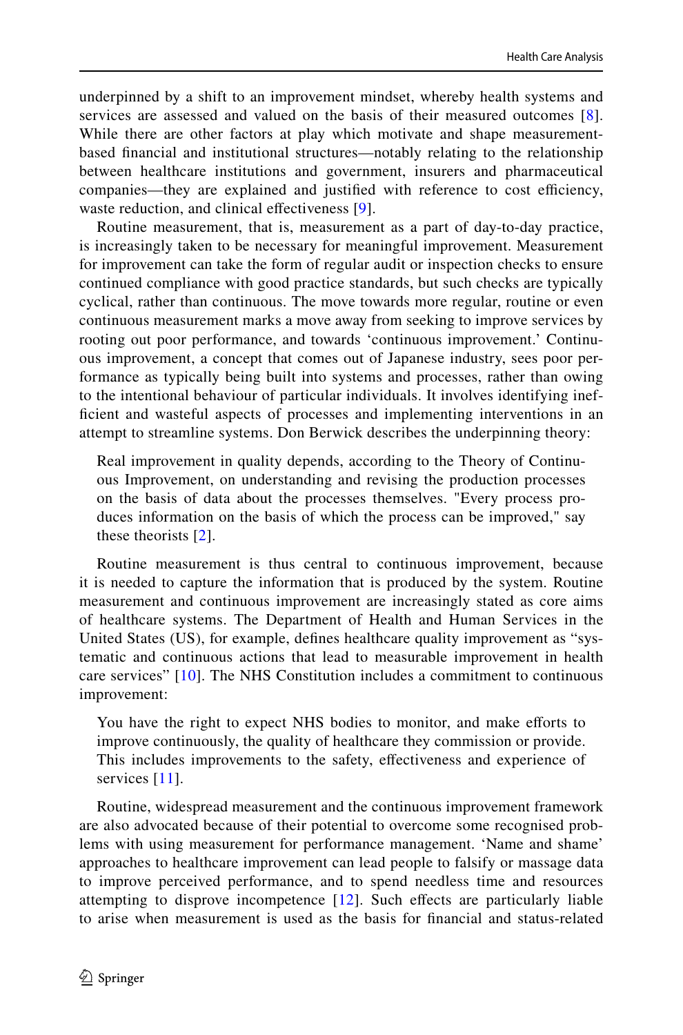underpinned by a shift to an improvement mindset, whereby health systems and services are assessed and valued on the basis of their measured outcomes [\[8](#page-17-7)]. While there are other factors at play which motivate and shape measurementbased fnancial and institutional structures—notably relating to the relationship between healthcare institutions and government, insurers and pharmaceutical companies—they are explained and justified with reference to cost efficiency, waste reduction, and clinical effectiveness [[9](#page-17-8)].

Routine measurement, that is, measurement as a part of day-to-day practice, is increasingly taken to be necessary for meaningful improvement. Measurement for improvement can take the form of regular audit or inspection checks to ensure continued compliance with good practice standards, but such checks are typically cyclical, rather than continuous. The move towards more regular, routine or even continuous measurement marks a move away from seeking to improve services by rooting out poor performance, and towards 'continuous improvement.' Continuous improvement, a concept that comes out of Japanese industry, sees poor performance as typically being built into systems and processes, rather than owing to the intentional behaviour of particular individuals. It involves identifying ineffcient and wasteful aspects of processes and implementing interventions in an attempt to streamline systems. Don Berwick describes the underpinning theory:

Real improvement in quality depends, according to the Theory of Continuous Improvement, on understanding and revising the production processes on the basis of data about the processes themselves. "Every process produces information on the basis of which the process can be improved," say these theorists [[2\]](#page-17-1).

Routine measurement is thus central to continuous improvement, because it is needed to capture the information that is produced by the system. Routine measurement and continuous improvement are increasingly stated as core aims of healthcare systems. The Department of Health and Human Services in the United States (US), for example, defnes healthcare quality improvement as "systematic and continuous actions that lead to measurable improvement in health care services" [[10](#page-17-9)]. The NHS Constitution includes a commitment to continuous improvement:

You have the right to expect NHS bodies to monitor, and make efforts to improve continuously, the quality of healthcare they commission or provide. This includes improvements to the safety, efectiveness and experience of services [[11](#page-17-10)].

Routine, widespread measurement and the continuous improvement framework are also advocated because of their potential to overcome some recognised problems with using measurement for performance management. 'Name and shame' approaches to healthcare improvement can lead people to falsify or massage data to improve perceived performance, and to spend needless time and resources attempting to disprove incompetence [[12](#page-17-11)]. Such efects are particularly liable to arise when measurement is used as the basis for fnancial and status-related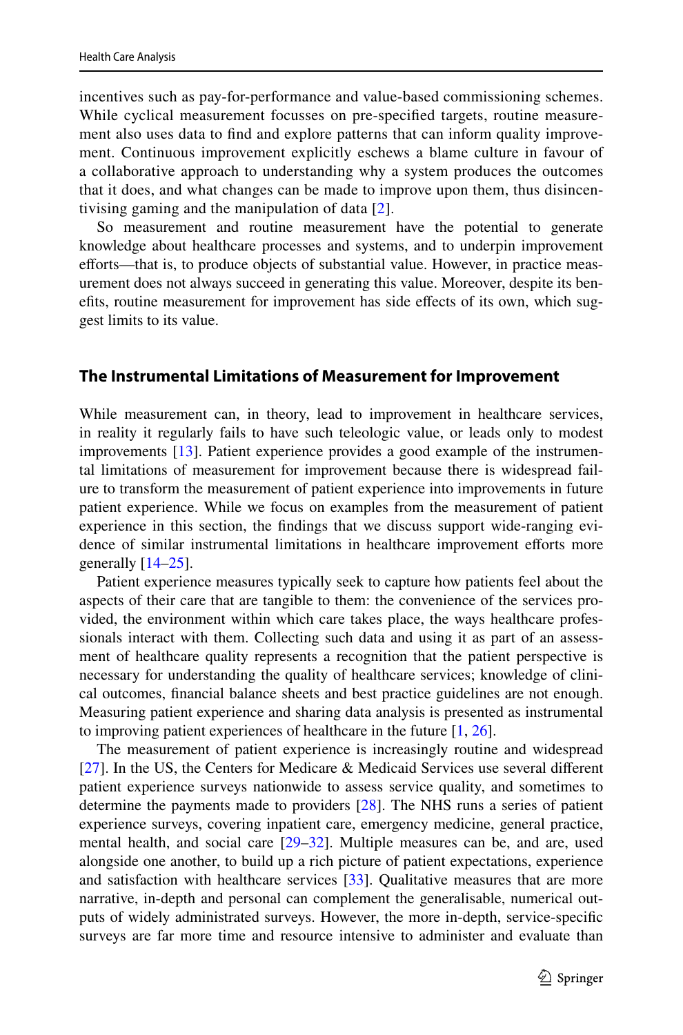incentives such as pay-for-performance and value-based commissioning schemes. While cyclical measurement focusses on pre-specifed targets, routine measurement also uses data to fnd and explore patterns that can inform quality improvement. Continuous improvement explicitly eschews a blame culture in favour of a collaborative approach to understanding why a system produces the outcomes that it does, and what changes can be made to improve upon them, thus disincentivising gaming and the manipulation of data [[2\]](#page-17-1).

So measurement and routine measurement have the potential to generate knowledge about healthcare processes and systems, and to underpin improvement efforts—that is, to produce objects of substantial value. However, in practice measurement does not always succeed in generating this value. Moreover, despite its benefts, routine measurement for improvement has side efects of its own, which suggest limits to its value.

#### <span id="page-4-0"></span>**The Instrumental Limitations of Measurement for Improvement**

While measurement can, in theory, lead to improvement in healthcare services, in reality it regularly fails to have such teleologic value, or leads only to modest improvements [\[13](#page-17-12)]. Patient experience provides a good example of the instrumental limitations of measurement for improvement because there is widespread failure to transform the measurement of patient experience into improvements in future patient experience. While we focus on examples from the measurement of patient experience in this section, the fndings that we discuss support wide-ranging evidence of similar instrumental limitations in healthcare improvement efforts more generally  $[14–25]$  $[14–25]$  $[14–25]$ .

Patient experience measures typically seek to capture how patients feel about the aspects of their care that are tangible to them: the convenience of the services provided, the environment within which care takes place, the ways healthcare professionals interact with them. Collecting such data and using it as part of an assessment of healthcare quality represents a recognition that the patient perspective is necessary for understanding the quality of healthcare services; knowledge of clinical outcomes, fnancial balance sheets and best practice guidelines are not enough. Measuring patient experience and sharing data analysis is presented as instrumental to improving patient experiences of healthcare in the future  $[1, 26]$  $[1, 26]$  $[1, 26]$  $[1, 26]$ .

The measurement of patient experience is increasingly routine and widespread [\[27](#page-18-2)]. In the US, the Centers for Medicare & Medicaid Services use several diferent patient experience surveys nationwide to assess service quality, and sometimes to determine the payments made to providers [\[28](#page-18-3)]. The NHS runs a series of patient experience surveys, covering inpatient care, emergency medicine, general practice, mental health, and social care [[29–](#page-18-4)[32\]](#page-18-5). Multiple measures can be, and are, used alongside one another, to build up a rich picture of patient expectations, experience and satisfaction with healthcare services [\[33](#page-18-6)]. Qualitative measures that are more narrative, in-depth and personal can complement the generalisable, numerical outputs of widely administrated surveys. However, the more in-depth, service-specifc surveys are far more time and resource intensive to administer and evaluate than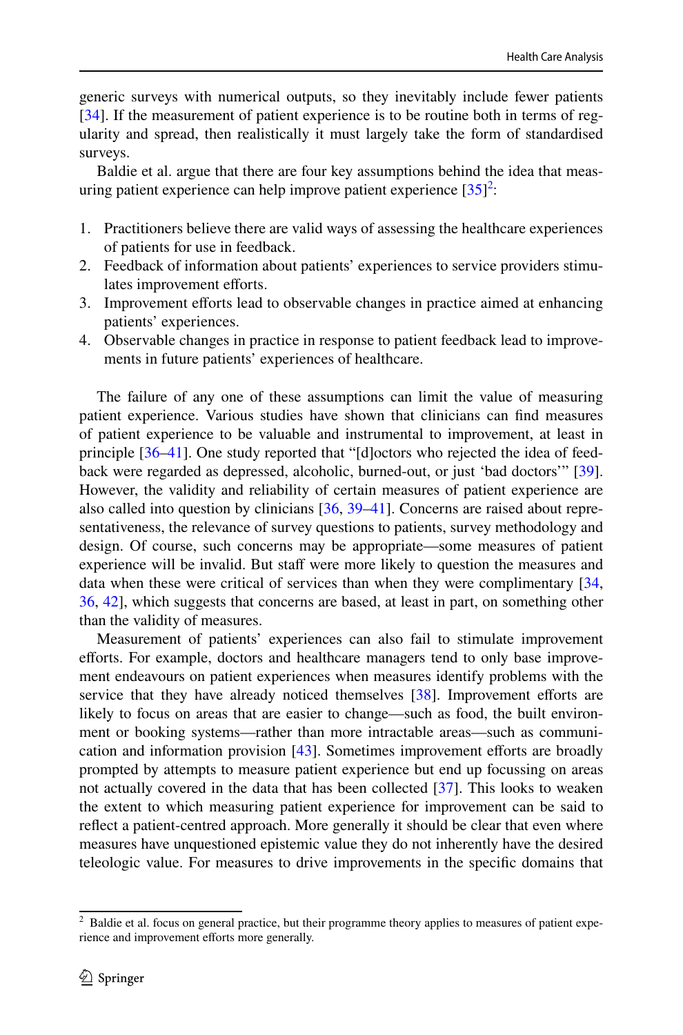generic surveys with numerical outputs, so they inevitably include fewer patients [\[34](#page-18-7)]. If the measurement of patient experience is to be routine both in terms of regularity and spread, then realistically it must largely take the form of standardised surveys.

Baldie et al. argue that there are four key assumptions behind the idea that measuring patient experience can help improve patient experience  $[35]^2$  $[35]^2$  $[35]^2$  $[35]^2$ :

- 1. Practitioners believe there are valid ways of assessing the healthcare experiences of patients for use in feedback.
- 2. Feedback of information about patients' experiences to service providers stimulates improvement efforts.
- 3. Improvement eforts lead to observable changes in practice aimed at enhancing patients' experiences.
- 4. Observable changes in practice in response to patient feedback lead to improvements in future patients' experiences of healthcare.

The failure of any one of these assumptions can limit the value of measuring patient experience. Various studies have shown that clinicians can fnd measures of patient experience to be valuable and instrumental to improvement, at least in principle [[36–](#page-18-9)[41\]](#page-18-10). One study reported that "[d]octors who rejected the idea of feedback were regarded as depressed, alcoholic, burned-out, or just 'bad doctors'" [[39\]](#page-18-11). However, the validity and reliability of certain measures of patient experience are also called into question by clinicians [\[36](#page-18-9), [39–](#page-18-11)[41\]](#page-18-10). Concerns are raised about representativeness, the relevance of survey questions to patients, survey methodology and design. Of course, such concerns may be appropriate—some measures of patient experience will be invalid. But staff were more likely to question the measures and data when these were critical of services than when they were complimentary [[34,](#page-18-7) [36](#page-18-9), [42](#page-18-12)], which suggests that concerns are based, at least in part, on something other than the validity of measures.

Measurement of patients' experiences can also fail to stimulate improvement efforts. For example, doctors and healthcare managers tend to only base improvement endeavours on patient experiences when measures identify problems with the service that they have already noticed themselves  $[38]$  $[38]$ . Improvement efforts are likely to focus on areas that are easier to change—such as food, the built environment or booking systems—rather than more intractable areas—such as communication and information provision  $[43]$  $[43]$ . Sometimes improvement efforts are broadly prompted by attempts to measure patient experience but end up focussing on areas not actually covered in the data that has been collected [\[37](#page-18-15)]. This looks to weaken the extent to which measuring patient experience for improvement can be said to refect a patient-centred approach. More generally it should be clear that even where measures have unquestioned epistemic value they do not inherently have the desired teleologic value. For measures to drive improvements in the specifc domains that

<span id="page-5-0"></span><sup>&</sup>lt;sup>2</sup> Baldie et al. focus on general practice, but their programme theory applies to measures of patient experience and improvement efforts more generally.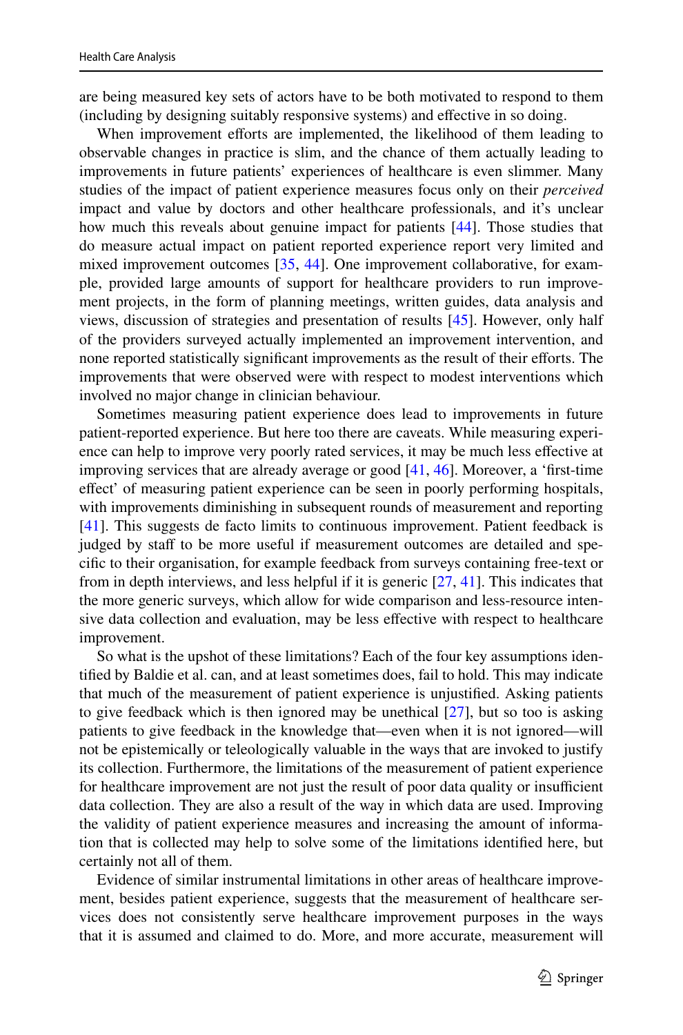are being measured key sets of actors have to be both motivated to respond to them (including by designing suitably responsive systems) and efective in so doing.

When improvement efforts are implemented, the likelihood of them leading to observable changes in practice is slim, and the chance of them actually leading to improvements in future patients' experiences of healthcare is even slimmer. Many studies of the impact of patient experience measures focus only on their *perceived* impact and value by doctors and other healthcare professionals, and it's unclear how much this reveals about genuine impact for patients [[44\]](#page-18-16). Those studies that do measure actual impact on patient reported experience report very limited and mixed improvement outcomes [\[35](#page-18-8), [44](#page-18-16)]. One improvement collaborative, for example, provided large amounts of support for healthcare providers to run improvement projects, in the form of planning meetings, written guides, data analysis and views, discussion of strategies and presentation of results [\[45](#page-18-17)]. However, only half of the providers surveyed actually implemented an improvement intervention, and none reported statistically significant improvements as the result of their efforts. The improvements that were observed were with respect to modest interventions which involved no major change in clinician behaviour.

Sometimes measuring patient experience does lead to improvements in future patient-reported experience. But here too there are caveats. While measuring experience can help to improve very poorly rated services, it may be much less efective at improving services that are already average or good [\[41](#page-18-10), [46](#page-18-18)]. Moreover, a 'frst-time efect' of measuring patient experience can be seen in poorly performing hospitals, with improvements diminishing in subsequent rounds of measurement and reporting [\[41](#page-18-10)]. This suggests de facto limits to continuous improvement. Patient feedback is judged by staff to be more useful if measurement outcomes are detailed and specifc to their organisation, for example feedback from surveys containing free-text or from in depth interviews, and less helpful if it is generic [\[27](#page-18-2), [41](#page-18-10)]. This indicates that the more generic surveys, which allow for wide comparison and less-resource intensive data collection and evaluation, may be less efective with respect to healthcare improvement.

So what is the upshot of these limitations? Each of the four key assumptions identifed by Baldie et al. can, and at least sometimes does, fail to hold. This may indicate that much of the measurement of patient experience is unjustifed. Asking patients to give feedback which is then ignored may be unethical [\[27](#page-18-2)], but so too is asking patients to give feedback in the knowledge that—even when it is not ignored—will not be epistemically or teleologically valuable in the ways that are invoked to justify its collection. Furthermore, the limitations of the measurement of patient experience for healthcare improvement are not just the result of poor data quality or insufficient data collection. They are also a result of the way in which data are used. Improving the validity of patient experience measures and increasing the amount of information that is collected may help to solve some of the limitations identifed here, but certainly not all of them.

Evidence of similar instrumental limitations in other areas of healthcare improvement, besides patient experience, suggests that the measurement of healthcare services does not consistently serve healthcare improvement purposes in the ways that it is assumed and claimed to do. More, and more accurate, measurement will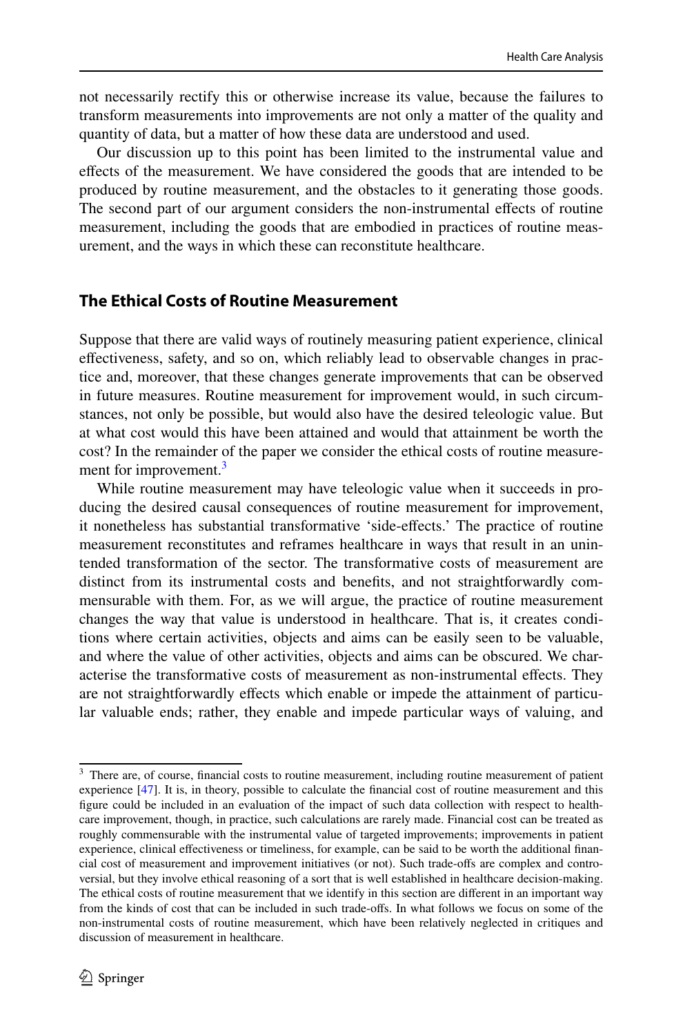not necessarily rectify this or otherwise increase its value, because the failures to transform measurements into improvements are not only a matter of the quality and quantity of data, but a matter of how these data are understood and used.

Our discussion up to this point has been limited to the instrumental value and efects of the measurement. We have considered the goods that are intended to be produced by routine measurement, and the obstacles to it generating those goods. The second part of our argument considers the non-instrumental efects of routine measurement, including the goods that are embodied in practices of routine measurement, and the ways in which these can reconstitute healthcare.

### <span id="page-7-0"></span>**The Ethical Costs of Routine Measurement**

Suppose that there are valid ways of routinely measuring patient experience, clinical efectiveness, safety, and so on, which reliably lead to observable changes in practice and, moreover, that these changes generate improvements that can be observed in future measures. Routine measurement for improvement would, in such circumstances, not only be possible, but would also have the desired teleologic value. But at what cost would this have been attained and would that attainment be worth the cost? In the remainder of the paper we consider the ethical costs of routine measure-ment for improvement.<sup>[3](#page-7-1)</sup>

While routine measurement may have teleologic value when it succeeds in producing the desired causal consequences of routine measurement for improvement, it nonetheless has substantial transformative 'side-efects.' The practice of routine measurement reconstitutes and reframes healthcare in ways that result in an unintended transformation of the sector. The transformative costs of measurement are distinct from its instrumental costs and benefts, and not straightforwardly commensurable with them. For, as we will argue, the practice of routine measurement changes the way that value is understood in healthcare. That is, it creates conditions where certain activities, objects and aims can be easily seen to be valuable, and where the value of other activities, objects and aims can be obscured. We characterise the transformative costs of measurement as non-instrumental efects. They are not straightforwardly efects which enable or impede the attainment of particular valuable ends; rather, they enable and impede particular ways of valuing, and

<span id="page-7-1"></span><sup>&</sup>lt;sup>3</sup> There are, of course, financial costs to routine measurement, including routine measurement of patient experience [[47\]](#page-19-0). It is, in theory, possible to calculate the fnancial cost of routine measurement and this fgure could be included in an evaluation of the impact of such data collection with respect to healthcare improvement, though, in practice, such calculations are rarely made. Financial cost can be treated as roughly commensurable with the instrumental value of targeted improvements; improvements in patient experience, clinical efectiveness or timeliness, for example, can be said to be worth the additional fnancial cost of measurement and improvement initiatives (or not). Such trade-ofs are complex and controversial, but they involve ethical reasoning of a sort that is well established in healthcare decision-making. The ethical costs of routine measurement that we identify in this section are diferent in an important way from the kinds of cost that can be included in such trade-ofs. In what follows we focus on some of the non-instrumental costs of routine measurement, which have been relatively neglected in critiques and discussion of measurement in healthcare.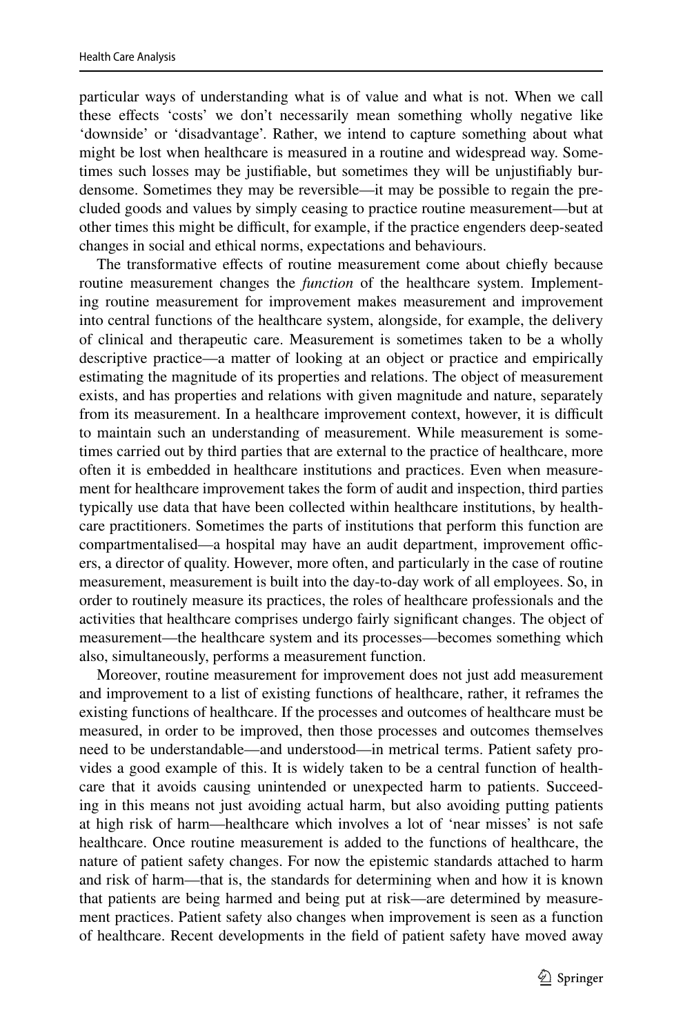particular ways of understanding what is of value and what is not. When we call these effects 'costs' we don't necessarily mean something wholly negative like 'downside' or 'disadvantage'. Rather, we intend to capture something about what might be lost when healthcare is measured in a routine and widespread way. Sometimes such losses may be justifable, but sometimes they will be unjustifably burdensome. Sometimes they may be reversible—it may be possible to regain the precluded goods and values by simply ceasing to practice routine measurement—but at other times this might be difficult, for example, if the practice engenders deep-seated changes in social and ethical norms, expectations and behaviours.

The transformative effects of routine measurement come about chiefly because routine measurement changes the *function* of the healthcare system. Implementing routine measurement for improvement makes measurement and improvement into central functions of the healthcare system, alongside, for example, the delivery of clinical and therapeutic care. Measurement is sometimes taken to be a wholly descriptive practice—a matter of looking at an object or practice and empirically estimating the magnitude of its properties and relations. The object of measurement exists, and has properties and relations with given magnitude and nature, separately from its measurement. In a healthcare improvement context, however, it is difficult to maintain such an understanding of measurement. While measurement is sometimes carried out by third parties that are external to the practice of healthcare, more often it is embedded in healthcare institutions and practices. Even when measurement for healthcare improvement takes the form of audit and inspection, third parties typically use data that have been collected within healthcare institutions, by healthcare practitioners. Sometimes the parts of institutions that perform this function are compartmentalised—a hospital may have an audit department, improvement officers, a director of quality. However, more often, and particularly in the case of routine measurement, measurement is built into the day-to-day work of all employees. So, in order to routinely measure its practices, the roles of healthcare professionals and the activities that healthcare comprises undergo fairly signifcant changes. The object of measurement—the healthcare system and its processes—becomes something which also, simultaneously, performs a measurement function.

Moreover, routine measurement for improvement does not just add measurement and improvement to a list of existing functions of healthcare, rather, it reframes the existing functions of healthcare. If the processes and outcomes of healthcare must be measured, in order to be improved, then those processes and outcomes themselves need to be understandable—and understood—in metrical terms. Patient safety provides a good example of this. It is widely taken to be a central function of healthcare that it avoids causing unintended or unexpected harm to patients. Succeeding in this means not just avoiding actual harm, but also avoiding putting patients at high risk of harm—healthcare which involves a lot of 'near misses' is not safe healthcare. Once routine measurement is added to the functions of healthcare, the nature of patient safety changes. For now the epistemic standards attached to harm and risk of harm—that is, the standards for determining when and how it is known that patients are being harmed and being put at risk—are determined by measurement practices. Patient safety also changes when improvement is seen as a function of healthcare. Recent developments in the feld of patient safety have moved away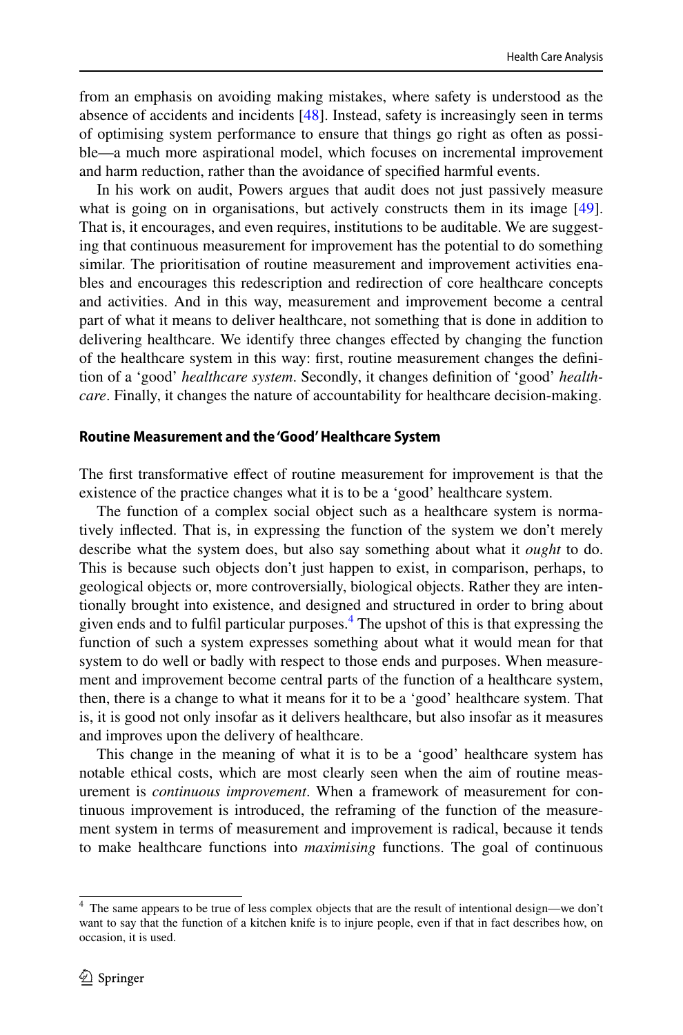from an emphasis on avoiding making mistakes, where safety is understood as the absence of accidents and incidents [[48\]](#page-19-1). Instead, safety is increasingly seen in terms of optimising system performance to ensure that things go right as often as possible—a much more aspirational model, which focuses on incremental improvement and harm reduction, rather than the avoidance of specifed harmful events.

In his work on audit, Powers argues that audit does not just passively measure what is going on in organisations, but actively constructs them in its image [[49\]](#page-19-2). That is, it encourages, and even requires, institutions to be auditable. We are suggesting that continuous measurement for improvement has the potential to do something similar. The prioritisation of routine measurement and improvement activities enables and encourages this redescription and redirection of core healthcare concepts and activities. And in this way, measurement and improvement become a central part of what it means to deliver healthcare, not something that is done in addition to delivering healthcare. We identify three changes efected by changing the function of the healthcare system in this way: frst, routine measurement changes the defnition of a 'good' *healthcare system*. Secondly, it changes defnition of 'good' *healthcare*. Finally, it changes the nature of accountability for healthcare decision-making.

#### <span id="page-9-0"></span>**Routine Measurement and the 'Good' Healthcare System**

The first transformative effect of routine measurement for improvement is that the existence of the practice changes what it is to be a 'good' healthcare system.

The function of a complex social object such as a healthcare system is normatively infected. That is, in expressing the function of the system we don't merely describe what the system does, but also say something about what it *ought* to do. This is because such objects don't just happen to exist, in comparison, perhaps, to geological objects or, more controversially, biological objects. Rather they are intentionally brought into existence, and designed and structured in order to bring about given ends and to fulfl particular purposes[.4](#page-9-1) The upshot of this is that expressing the function of such a system expresses something about what it would mean for that system to do well or badly with respect to those ends and purposes. When measurement and improvement become central parts of the function of a healthcare system, then, there is a change to what it means for it to be a 'good' healthcare system. That is, it is good not only insofar as it delivers healthcare, but also insofar as it measures and improves upon the delivery of healthcare.

This change in the meaning of what it is to be a 'good' healthcare system has notable ethical costs, which are most clearly seen when the aim of routine measurement is *continuous improvement*. When a framework of measurement for continuous improvement is introduced, the reframing of the function of the measurement system in terms of measurement and improvement is radical, because it tends to make healthcare functions into *maximising* functions. The goal of continuous

<span id="page-9-1"></span><sup>4</sup> The same appears to be true of less complex objects that are the result of intentional design—we don't want to say that the function of a kitchen knife is to injure people, even if that in fact describes how, on occasion, it is used.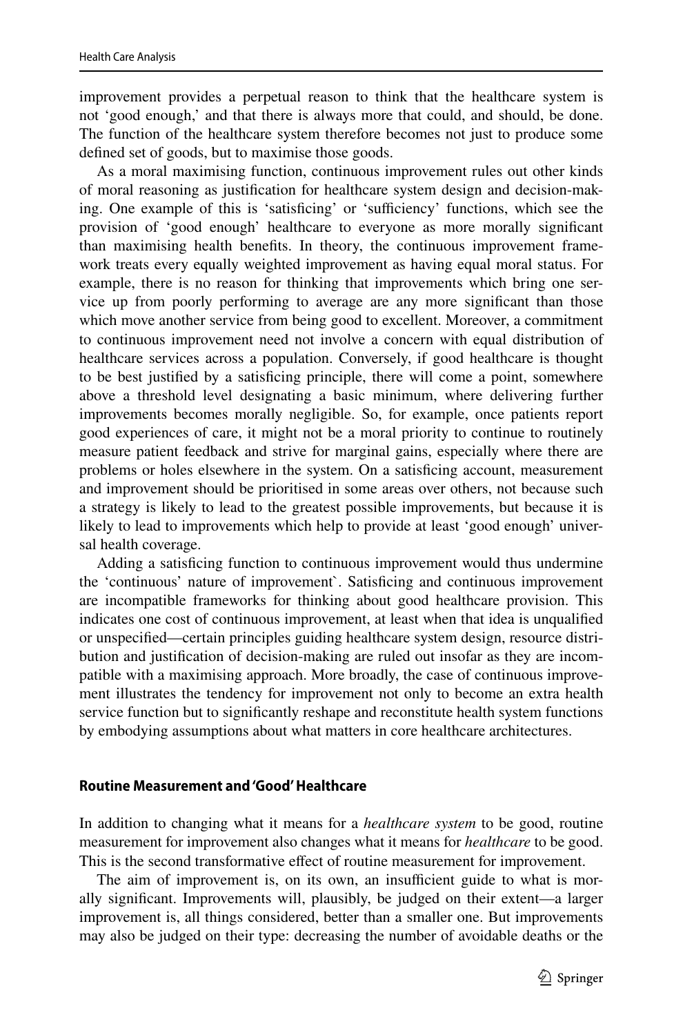improvement provides a perpetual reason to think that the healthcare system is not 'good enough,' and that there is always more that could, and should, be done. The function of the healthcare system therefore becomes not just to produce some defned set of goods, but to maximise those goods.

As a moral maximising function, continuous improvement rules out other kinds of moral reasoning as justifcation for healthcare system design and decision-making. One example of this is 'satisficing' or 'sufficiency' functions, which see the provision of 'good enough' healthcare to everyone as more morally signifcant than maximising health benefts. In theory, the continuous improvement framework treats every equally weighted improvement as having equal moral status. For example, there is no reason for thinking that improvements which bring one service up from poorly performing to average are any more signifcant than those which move another service from being good to excellent. Moreover, a commitment to continuous improvement need not involve a concern with equal distribution of healthcare services across a population. Conversely, if good healthcare is thought to be best justifed by a satisfcing principle, there will come a point, somewhere above a threshold level designating a basic minimum, where delivering further improvements becomes morally negligible. So, for example, once patients report good experiences of care, it might not be a moral priority to continue to routinely measure patient feedback and strive for marginal gains, especially where there are problems or holes elsewhere in the system. On a satisfcing account, measurement and improvement should be prioritised in some areas over others, not because such a strategy is likely to lead to the greatest possible improvements, but because it is likely to lead to improvements which help to provide at least 'good enough' universal health coverage.

Adding a satisfcing function to continuous improvement would thus undermine the 'continuous' nature of improvement`. Satisfcing and continuous improvement are incompatible frameworks for thinking about good healthcare provision. This indicates one cost of continuous improvement, at least when that idea is unqualifed or unspecifed—certain principles guiding healthcare system design, resource distribution and justifcation of decision-making are ruled out insofar as they are incompatible with a maximising approach. More broadly, the case of continuous improvement illustrates the tendency for improvement not only to become an extra health service function but to signifcantly reshape and reconstitute health system functions by embodying assumptions about what matters in core healthcare architectures.

#### **Routine Measurement and 'Good' Healthcare**

In addition to changing what it means for a *healthcare system* to be good, routine measurement for improvement also changes what it means for *healthcare* to be good. This is the second transformative effect of routine measurement for improvement.

The aim of improvement is, on its own, an insufficient guide to what is morally signifcant. Improvements will, plausibly, be judged on their extent—a larger improvement is, all things considered, better than a smaller one. But improvements may also be judged on their type: decreasing the number of avoidable deaths or the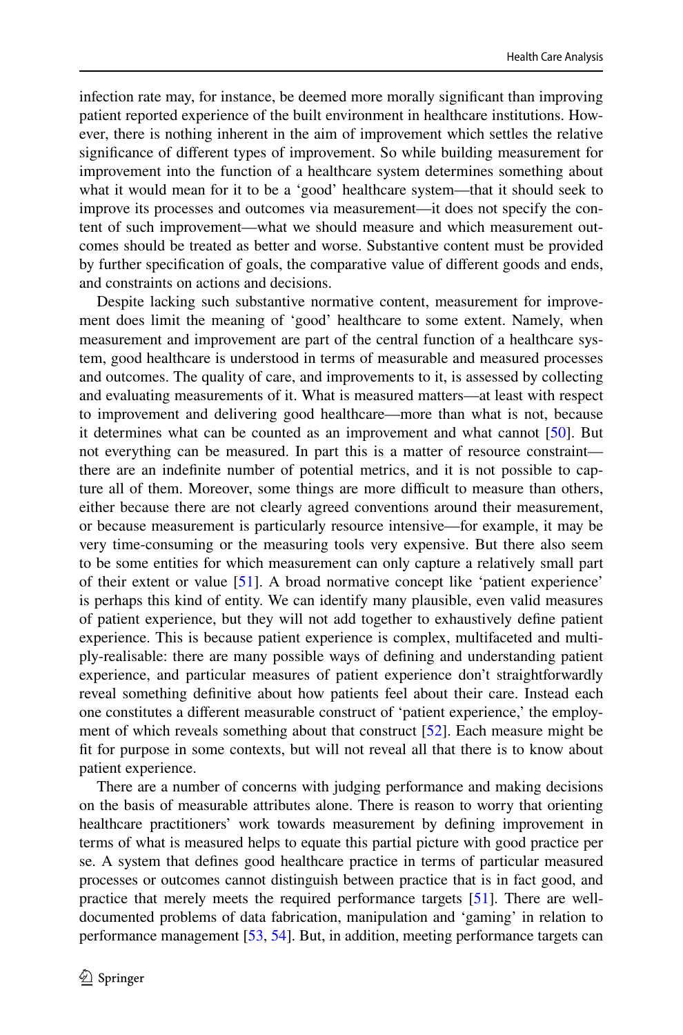infection rate may, for instance, be deemed more morally signifcant than improving patient reported experience of the built environment in healthcare institutions. However, there is nothing inherent in the aim of improvement which settles the relative signifcance of diferent types of improvement. So while building measurement for improvement into the function of a healthcare system determines something about what it would mean for it to be a 'good' healthcare system—that it should seek to improve its processes and outcomes via measurement—it does not specify the content of such improvement—what we should measure and which measurement outcomes should be treated as better and worse. Substantive content must be provided by further specifcation of goals, the comparative value of diferent goods and ends, and constraints on actions and decisions.

Despite lacking such substantive normative content, measurement for improvement does limit the meaning of 'good' healthcare to some extent. Namely, when measurement and improvement are part of the central function of a healthcare system, good healthcare is understood in terms of measurable and measured processes and outcomes. The quality of care, and improvements to it, is assessed by collecting and evaluating measurements of it. What is measured matters—at least with respect to improvement and delivering good healthcare—more than what is not, because it determines what can be counted as an improvement and what cannot [\[50](#page-19-3)]. But not everything can be measured. In part this is a matter of resource constraint there are an indefnite number of potential metrics, and it is not possible to capture all of them. Moreover, some things are more difficult to measure than others, either because there are not clearly agreed conventions around their measurement, or because measurement is particularly resource intensive—for example, it may be very time-consuming or the measuring tools very expensive. But there also seem to be some entities for which measurement can only capture a relatively small part of their extent or value [\[51](#page-19-4)]. A broad normative concept like 'patient experience' is perhaps this kind of entity. We can identify many plausible, even valid measures of patient experience, but they will not add together to exhaustively defne patient experience. This is because patient experience is complex, multifaceted and multiply-realisable: there are many possible ways of defning and understanding patient experience, and particular measures of patient experience don't straightforwardly reveal something defnitive about how patients feel about their care. Instead each one constitutes a diferent measurable construct of 'patient experience,' the employ-ment of which reveals something about that construct [[52\]](#page-19-5). Each measure might be ft for purpose in some contexts, but will not reveal all that there is to know about patient experience.

There are a number of concerns with judging performance and making decisions on the basis of measurable attributes alone. There is reason to worry that orienting healthcare practitioners' work towards measurement by defning improvement in terms of what is measured helps to equate this partial picture with good practice per se. A system that defnes good healthcare practice in terms of particular measured processes or outcomes cannot distinguish between practice that is in fact good, and practice that merely meets the required performance targets [\[51\]](#page-19-4). There are welldocumented problems of data fabrication, manipulation and 'gaming' in relation to performance management [[53,](#page-19-6) [54](#page-19-7)]. But, in addition, meeting performance targets can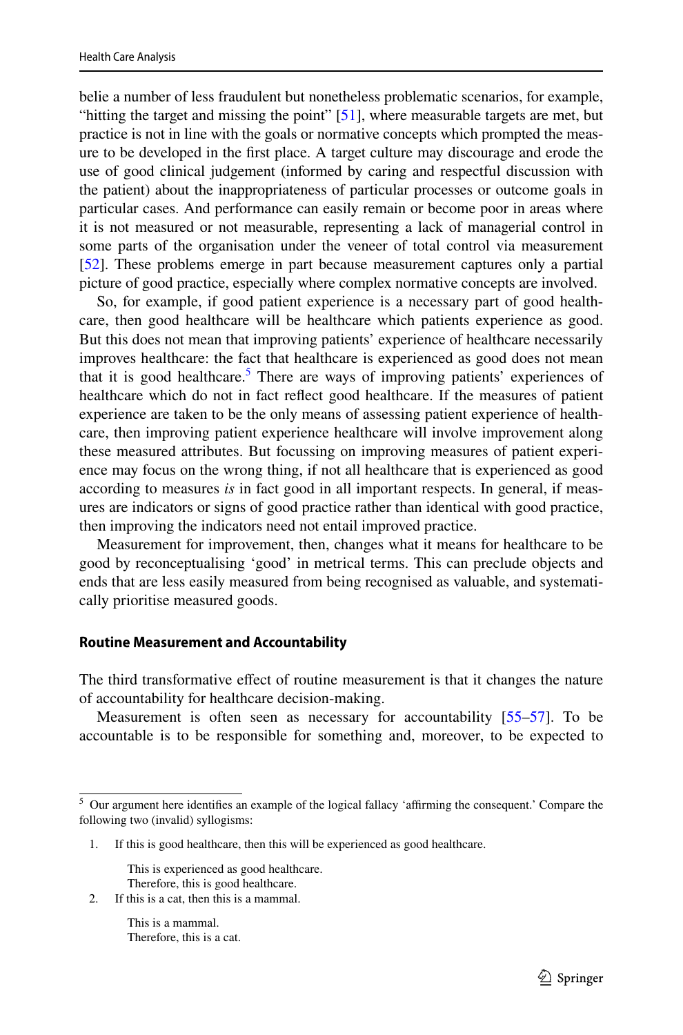belie a number of less fraudulent but nonetheless problematic scenarios, for example, "hitting the target and missing the point"  $[51]$  $[51]$ , where measurable targets are met, but practice is not in line with the goals or normative concepts which prompted the measure to be developed in the frst place. A target culture may discourage and erode the use of good clinical judgement (informed by caring and respectful discussion with the patient) about the inappropriateness of particular processes or outcome goals in particular cases. And performance can easily remain or become poor in areas where it is not measured or not measurable, representing a lack of managerial control in some parts of the organisation under the veneer of total control via measurement [\[52](#page-19-5)]. These problems emerge in part because measurement captures only a partial picture of good practice, especially where complex normative concepts are involved.

So, for example, if good patient experience is a necessary part of good healthcare, then good healthcare will be healthcare which patients experience as good. But this does not mean that improving patients' experience of healthcare necessarily improves healthcare: the fact that healthcare is experienced as good does not mean that it is good healthcare.<sup>5</sup> There are ways of improving patients' experiences of healthcare which do not in fact refect good healthcare. If the measures of patient experience are taken to be the only means of assessing patient experience of healthcare, then improving patient experience healthcare will involve improvement along these measured attributes. But focussing on improving measures of patient experience may focus on the wrong thing, if not all healthcare that is experienced as good according to measures *is* in fact good in all important respects. In general, if measures are indicators or signs of good practice rather than identical with good practice, then improving the indicators need not entail improved practice.

Measurement for improvement, then, changes what it means for healthcare to be good by reconceptualising 'good' in metrical terms. This can preclude objects and ends that are less easily measured from being recognised as valuable, and systematically prioritise measured goods.

#### **Routine Measurement and Accountability**

The third transformative efect of routine measurement is that it changes the nature of accountability for healthcare decision-making.

Measurement is often seen as necessary for accountability [[55–](#page-19-8)[57\]](#page-19-9). To be accountable is to be responsible for something and, moreover, to be expected to

This is experienced as good healthcare.

Therefore, this is good healthcare.<br>The this is a cat then this is a mammal. If this is a cat, then this is a mammal.

> This is a mammal. Therefore, this is a cat.

<span id="page-12-0"></span><sup>&</sup>lt;sup>5</sup> Our argument here identifies an example of the logical fallacy 'affirming the consequent.' Compare the following two (invalid) syllogisms:

If this is good healthcare, then this will be experienced as good healthcare.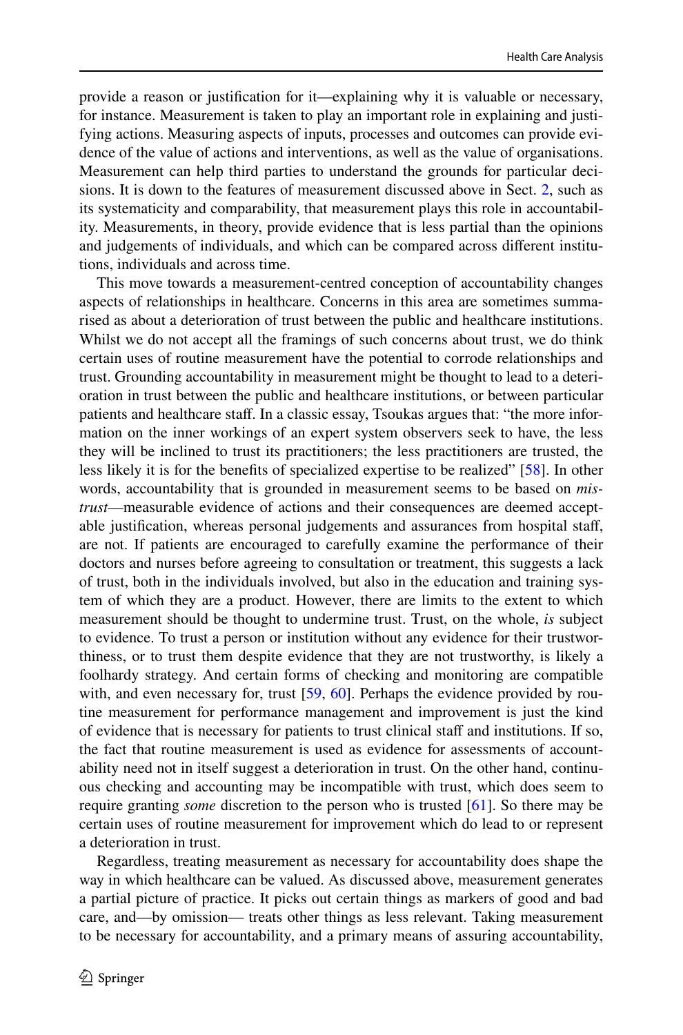provide a reason or justifcation for it—explaining why it is valuable or necessary, for instance. Measurement is taken to play an important role in explaining and justifying actions. Measuring aspects of inputs, processes and outcomes can provide evidence of the value of actions and interventions, as well as the value of organisations. Measurement can help third parties to understand the grounds for particular decisions. It is down to the features of measurement discussed above in Sect. [2,](#page-1-0) such as its systematicity and comparability, that measurement plays this role in accountability. Measurements, in theory, provide evidence that is less partial than the opinions and judgements of individuals, and which can be compared across diferent institutions, individuals and across time.

This move towards a measurement-centred conception of accountability changes aspects of relationships in healthcare. Concerns in this area are sometimes summarised as about a deterioration of trust between the public and healthcare institutions. Whilst we do not accept all the framings of such concerns about trust, we do think certain uses of routine measurement have the potential to corrode relationships and trust. Grounding accountability in measurement might be thought to lead to a deterioration in trust between the public and healthcare institutions, or between particular patients and healthcare staff. In a classic essay, Tsoukas argues that: "the more information on the inner workings of an expert system observers seek to have, the less they will be inclined to trust its practitioners; the less practitioners are trusted, the less likely it is for the benefts of specialized expertise to be realized" [[58\]](#page-19-10). In other words, accountability that is grounded in measurement seems to be based on *mistrust*—measurable evidence of actions and their consequences are deemed acceptable justifcation, whereas personal judgements and assurances from hospital staf, are not. If patients are encouraged to carefully examine the performance of their doctors and nurses before agreeing to consultation or treatment, this suggests a lack of trust, both in the individuals involved, but also in the education and training system of which they are a product. However, there are limits to the extent to which measurement should be thought to undermine trust. Trust, on the whole, *is* subject to evidence. To trust a person or institution without any evidence for their trustworthiness, or to trust them despite evidence that they are not trustworthy, is likely a foolhardy strategy. And certain forms of checking and monitoring are compatible with, and even necessary for, trust [\[59](#page-19-11), [60\]](#page-19-12). Perhaps the evidence provided by routine measurement for performance management and improvement is just the kind of evidence that is necessary for patients to trust clinical staf and institutions. If so, the fact that routine measurement is used as evidence for assessments of accountability need not in itself suggest a deterioration in trust. On the other hand, continuous checking and accounting may be incompatible with trust, which does seem to require granting *some* discretion to the person who is trusted [[61\]](#page-19-13). So there may be certain uses of routine measurement for improvement which do lead to or represent a deterioration in trust.

Regardless, treating measurement as necessary for accountability does shape the way in which healthcare can be valued. As discussed above, measurement generates a partial picture of practice. It picks out certain things as markers of good and bad care, and—by omission— treats other things as less relevant. Taking measurement to be necessary for accountability, and a primary means of assuring accountability,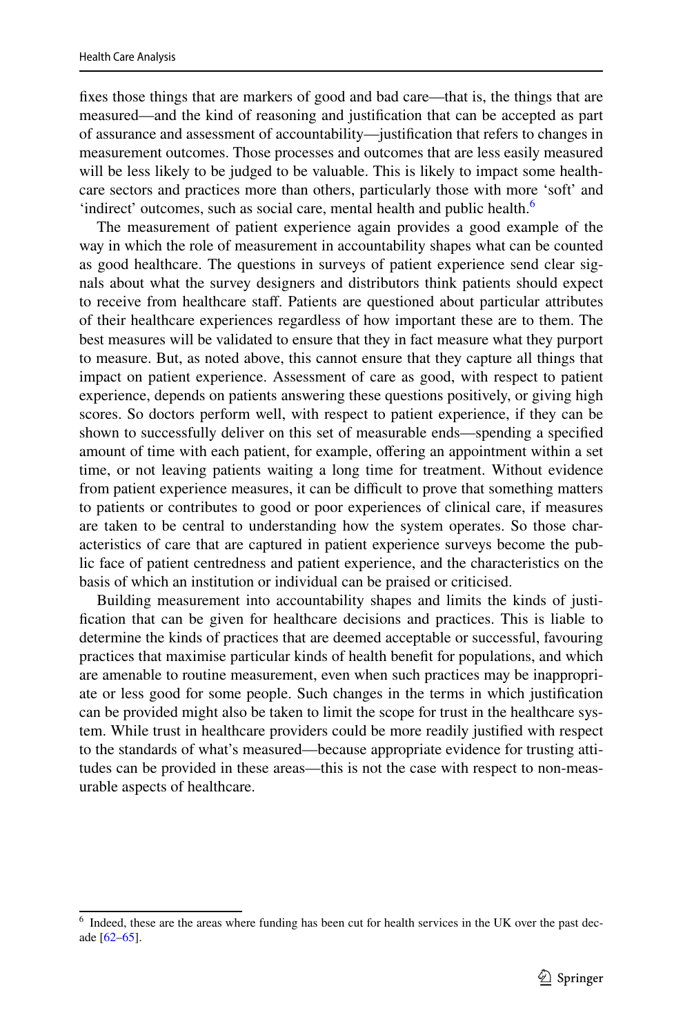fxes those things that are markers of good and bad care—that is, the things that are measured—and the kind of reasoning and justifcation that can be accepted as part of assurance and assessment of accountability—justifcation that refers to changes in measurement outcomes. Those processes and outcomes that are less easily measured will be less likely to be judged to be valuable. This is likely to impact some healthcare sectors and practices more than others, particularly those with more 'soft' and 'indirect' outcomes, such as social care, mental health and public health.<sup>6</sup>

The measurement of patient experience again provides a good example of the way in which the role of measurement in accountability shapes what can be counted as good healthcare. The questions in surveys of patient experience send clear signals about what the survey designers and distributors think patients should expect to receive from healthcare staf. Patients are questioned about particular attributes of their healthcare experiences regardless of how important these are to them. The best measures will be validated to ensure that they in fact measure what they purport to measure. But, as noted above, this cannot ensure that they capture all things that impact on patient experience. Assessment of care as good, with respect to patient experience, depends on patients answering these questions positively, or giving high scores. So doctors perform well, with respect to patient experience, if they can be shown to successfully deliver on this set of measurable ends—spending a specifed amount of time with each patient, for example, ofering an appointment within a set time, or not leaving patients waiting a long time for treatment. Without evidence from patient experience measures, it can be difficult to prove that something matters to patients or contributes to good or poor experiences of clinical care, if measures are taken to be central to understanding how the system operates. So those characteristics of care that are captured in patient experience surveys become the public face of patient centredness and patient experience, and the characteristics on the basis of which an institution or individual can be praised or criticised.

Building measurement into accountability shapes and limits the kinds of justifcation that can be given for healthcare decisions and practices. This is liable to determine the kinds of practices that are deemed acceptable or successful, favouring practices that maximise particular kinds of health beneft for populations, and which are amenable to routine measurement, even when such practices may be inappropriate or less good for some people. Such changes in the terms in which justifcation can be provided might also be taken to limit the scope for trust in the healthcare system. While trust in healthcare providers could be more readily justifed with respect to the standards of what's measured—because appropriate evidence for trusting attitudes can be provided in these areas—this is not the case with respect to non-measurable aspects of healthcare.

<span id="page-14-0"></span><sup>&</sup>lt;sup>6</sup> Indeed, these are the areas where funding has been cut for health services in the UK over the past decade [[62–](#page-19-14)[65\]](#page-19-15).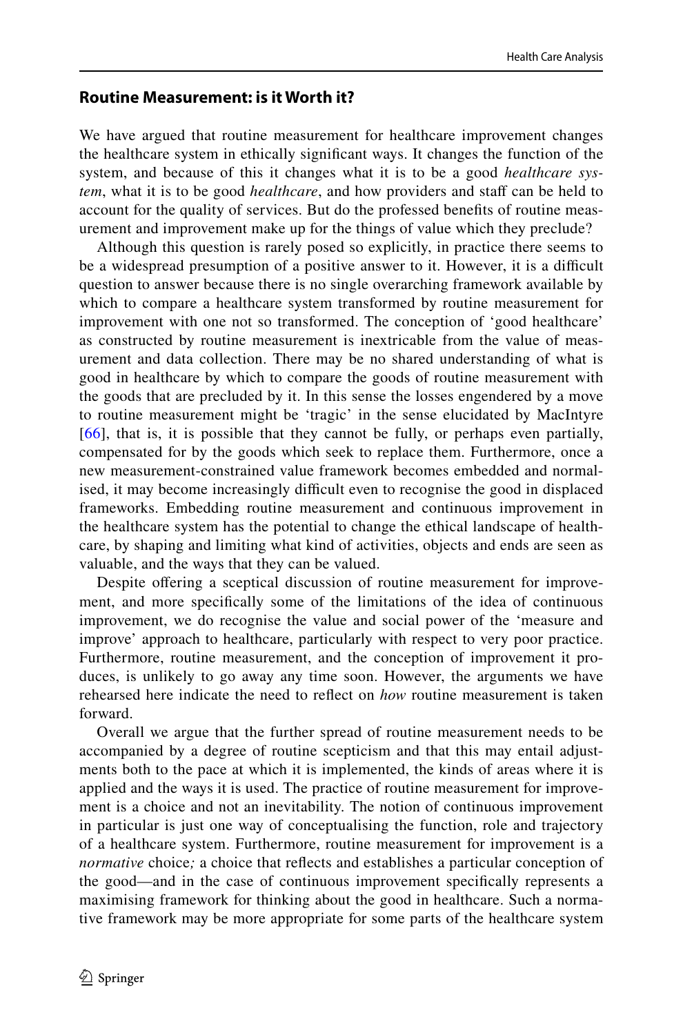## **Routine Measurement: is it Worth it?**

We have argued that routine measurement for healthcare improvement changes the healthcare system in ethically signifcant ways. It changes the function of the system, and because of this it changes what it is to be a good *healthcare system*, what it is to be good *healthcare*, and how providers and staff can be held to account for the quality of services. But do the professed benefts of routine measurement and improvement make up for the things of value which they preclude?

Although this question is rarely posed so explicitly, in practice there seems to be a widespread presumption of a positive answer to it. However, it is a difficult question to answer because there is no single overarching framework available by which to compare a healthcare system transformed by routine measurement for improvement with one not so transformed. The conception of 'good healthcare' as constructed by routine measurement is inextricable from the value of measurement and data collection. There may be no shared understanding of what is good in healthcare by which to compare the goods of routine measurement with the goods that are precluded by it. In this sense the losses engendered by a move to routine measurement might be 'tragic' in the sense elucidated by MacIntyre [\[66\]](#page-19-16), that is, it is possible that they cannot be fully, or perhaps even partially, compensated for by the goods which seek to replace them. Furthermore, once a new measurement-constrained value framework becomes embedded and normalised, it may become increasingly difficult even to recognise the good in displaced frameworks. Embedding routine measurement and continuous improvement in the healthcare system has the potential to change the ethical landscape of healthcare, by shaping and limiting what kind of activities, objects and ends are seen as valuable, and the ways that they can be valued.

Despite ofering a sceptical discussion of routine measurement for improvement, and more specifcally some of the limitations of the idea of continuous improvement, we do recognise the value and social power of the 'measure and improve' approach to healthcare, particularly with respect to very poor practice. Furthermore, routine measurement, and the conception of improvement it produces, is unlikely to go away any time soon. However, the arguments we have rehearsed here indicate the need to refect on *how* routine measurement is taken forward.

Overall we argue that the further spread of routine measurement needs to be accompanied by a degree of routine scepticism and that this may entail adjustments both to the pace at which it is implemented, the kinds of areas where it is applied and the ways it is used. The practice of routine measurement for improvement is a choice and not an inevitability. The notion of continuous improvement in particular is just one way of conceptualising the function, role and trajectory of a healthcare system. Furthermore, routine measurement for improvement is a *normative* choice; a choice that reflects and establishes a particular conception of the good—and in the case of continuous improvement specifcally represents a maximising framework for thinking about the good in healthcare. Such a normative framework may be more appropriate for some parts of the healthcare system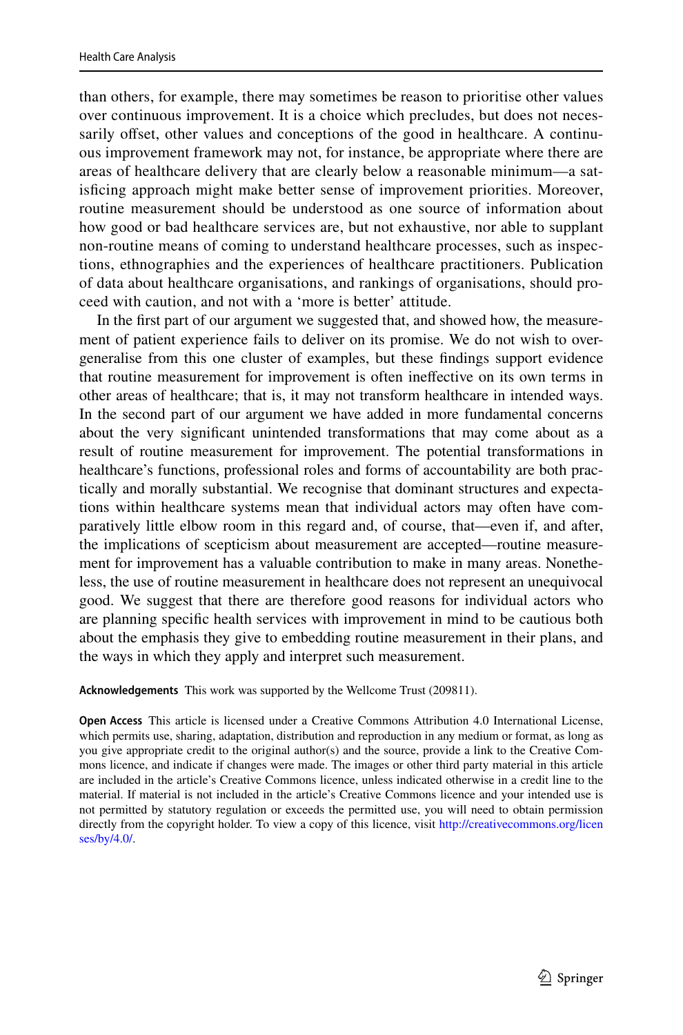than others, for example, there may sometimes be reason to prioritise other values over continuous improvement. It is a choice which precludes, but does not necessarily offset, other values and conceptions of the good in healthcare. A continuous improvement framework may not, for instance, be appropriate where there are areas of healthcare delivery that are clearly below a reasonable minimum—a satisfcing approach might make better sense of improvement priorities. Moreover, routine measurement should be understood as one source of information about how good or bad healthcare services are, but not exhaustive, nor able to supplant non-routine means of coming to understand healthcare processes, such as inspections, ethnographies and the experiences of healthcare practitioners. Publication of data about healthcare organisations, and rankings of organisations, should proceed with caution, and not with a 'more is better' attitude.

In the frst part of our argument we suggested that, and showed how, the measurement of patient experience fails to deliver on its promise. We do not wish to overgeneralise from this one cluster of examples, but these fndings support evidence that routine measurement for improvement is often inefective on its own terms in other areas of healthcare; that is, it may not transform healthcare in intended ways. In the second part of our argument we have added in more fundamental concerns about the very signifcant unintended transformations that may come about as a result of routine measurement for improvement. The potential transformations in healthcare's functions, professional roles and forms of accountability are both practically and morally substantial. We recognise that dominant structures and expectations within healthcare systems mean that individual actors may often have comparatively little elbow room in this regard and, of course, that—even if, and after, the implications of scepticism about measurement are accepted—routine measurement for improvement has a valuable contribution to make in many areas. Nonetheless, the use of routine measurement in healthcare does not represent an unequivocal good. We suggest that there are therefore good reasons for individual actors who are planning specifc health services with improvement in mind to be cautious both about the emphasis they give to embedding routine measurement in their plans, and the ways in which they apply and interpret such measurement.

**Acknowledgements** This work was supported by the Wellcome Trust (209811).

**Open Access** This article is licensed under a Creative Commons Attribution 4.0 International License, which permits use, sharing, adaptation, distribution and reproduction in any medium or format, as long as you give appropriate credit to the original author(s) and the source, provide a link to the Creative Commons licence, and indicate if changes were made. The images or other third party material in this article are included in the article's Creative Commons licence, unless indicated otherwise in a credit line to the material. If material is not included in the article's Creative Commons licence and your intended use is not permitted by statutory regulation or exceeds the permitted use, you will need to obtain permission directly from the copyright holder. To view a copy of this licence, visit [http://creativecommons.org/licen](http://creativecommons.org/licenses/by/4.0/) [ses/by/4.0/](http://creativecommons.org/licenses/by/4.0/).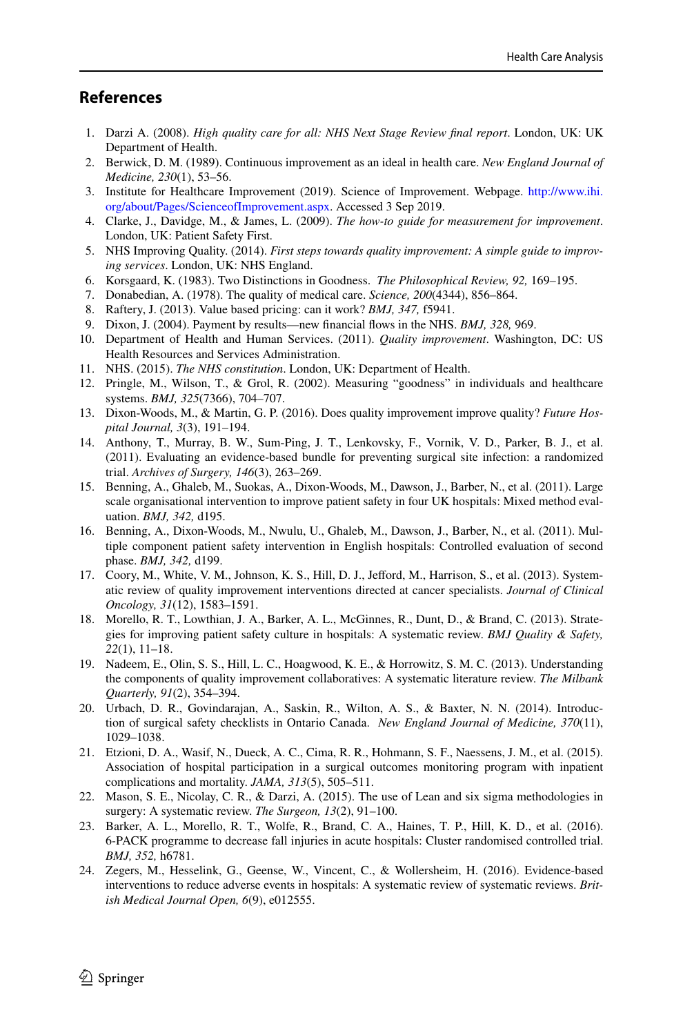# **References**

- <span id="page-17-0"></span>1. Darzi A. (2008). *High quality care for all: NHS Next Stage Review fnal report*. London, UK: UK Department of Health.
- <span id="page-17-1"></span>2. Berwick, D. M. (1989). Continuous improvement as an ideal in health care. *New England Journal of Medicine, 230*(1), 53–56.
- <span id="page-17-2"></span>3. Institute for Healthcare Improvement (2019). Science of Improvement. Webpage. [http://www.ihi.](http://www.ihi.org/about/Pages/ScienceofImprovement.aspx) [org/about/Pages/ScienceofImprovement.aspx](http://www.ihi.org/about/Pages/ScienceofImprovement.aspx). Accessed 3 Sep 2019.
- <span id="page-17-3"></span>4. Clarke, J., Davidge, M., & James, L. (2009). *The how-to guide for measurement for improvement*. London, UK: Patient Safety First.
- <span id="page-17-4"></span>5. NHS Improving Quality. (2014). *First steps towards quality improvement: A simple guide to improving services*. London, UK: NHS England.
- <span id="page-17-6"></span>6. Korsgaard, K. (1983). Two Distinctions in Goodness. *The Philosophical Review, 92,* 169–195.
- <span id="page-17-5"></span>7. Donabedian, A. (1978). The quality of medical care. *Science, 200*(4344), 856–864.
- <span id="page-17-7"></span>8. Raftery, J. (2013). Value based pricing: can it work? *BMJ, 347,* f5941.
- <span id="page-17-8"></span>9. Dixon, J. (2004). Payment by results—new fnancial fows in the NHS. *BMJ, 328,* 969.
- <span id="page-17-9"></span>10. Department of Health and Human Services. (2011). *Quality improvement*. Washington, DC: US Health Resources and Services Administration.
- <span id="page-17-10"></span>11. NHS. (2015). *The NHS constitution*. London, UK: Department of Health.
- <span id="page-17-11"></span>12. Pringle, M., Wilson, T., & Grol, R. (2002). Measuring "goodness" in individuals and healthcare systems. *BMJ, 325*(7366), 704–707.
- <span id="page-17-12"></span>13. Dixon-Woods, M., & Martin, G. P. (2016). Does quality improvement improve quality? *Future Hospital Journal, 3*(3), 191–194.
- <span id="page-17-13"></span>14. Anthony, T., Murray, B. W., Sum-Ping, J. T., Lenkovsky, F., Vornik, V. D., Parker, B. J., et al. (2011). Evaluating an evidence-based bundle for preventing surgical site infection: a randomized trial. *Archives of Surgery, 146*(3), 263–269.
- 15. Benning, A., Ghaleb, M., Suokas, A., Dixon-Woods, M., Dawson, J., Barber, N., et al. (2011). Large scale organisational intervention to improve patient safety in four UK hospitals: Mixed method evaluation. *BMJ, 342,* d195.
- 16. Benning, A., Dixon-Woods, M., Nwulu, U., Ghaleb, M., Dawson, J., Barber, N., et al. (2011). Multiple component patient safety intervention in English hospitals: Controlled evaluation of second phase. *BMJ, 342,* d199.
- 17. Coory, M., White, V. M., Johnson, K. S., Hill, D. J., Jeford, M., Harrison, S., et al. (2013). Systematic review of quality improvement interventions directed at cancer specialists. *Journal of Clinical Oncology, 31*(12), 1583–1591.
- 18. Morello, R. T., Lowthian, J. A., Barker, A. L., McGinnes, R., Dunt, D., & Brand, C. (2013). Strategies for improving patient safety culture in hospitals: A systematic review. *BMJ Quality & Safety, 22*(1), 11–18.
- 19. Nadeem, E., Olin, S. S., Hill, L. C., Hoagwood, K. E., & Horrowitz, S. M. C. (2013). Understanding the components of quality improvement collaboratives: A systematic literature review. *The Milbank Quarterly, 91*(2), 354–394.
- 20. Urbach, D. R., Govindarajan, A., Saskin, R., Wilton, A. S., & Baxter, N. N. (2014). Introduction of surgical safety checklists in Ontario Canada. *New England Journal of Medicine, 370*(11), 1029–1038.
- 21. Etzioni, D. A., Wasif, N., Dueck, A. C., Cima, R. R., Hohmann, S. F., Naessens, J. M., et al. (2015). Association of hospital participation in a surgical outcomes monitoring program with inpatient complications and mortality. *JAMA, 313*(5), 505–511.
- 22. Mason, S. E., Nicolay, C. R., & Darzi, A. (2015). The use of Lean and six sigma methodologies in surgery: A systematic review. *The Surgeon, 13*(2), 91–100.
- 23. Barker, A. L., Morello, R. T., Wolfe, R., Brand, C. A., Haines, T. P., Hill, K. D., et al. (2016). 6-PACK programme to decrease fall injuries in acute hospitals: Cluster randomised controlled trial. *BMJ, 352,* h6781.
- 24. Zegers, M., Hesselink, G., Geense, W., Vincent, C., & Wollersheim, H. (2016). Evidence-based interventions to reduce adverse events in hospitals: A systematic review of systematic reviews. *British Medical Journal Open, 6*(9), e012555.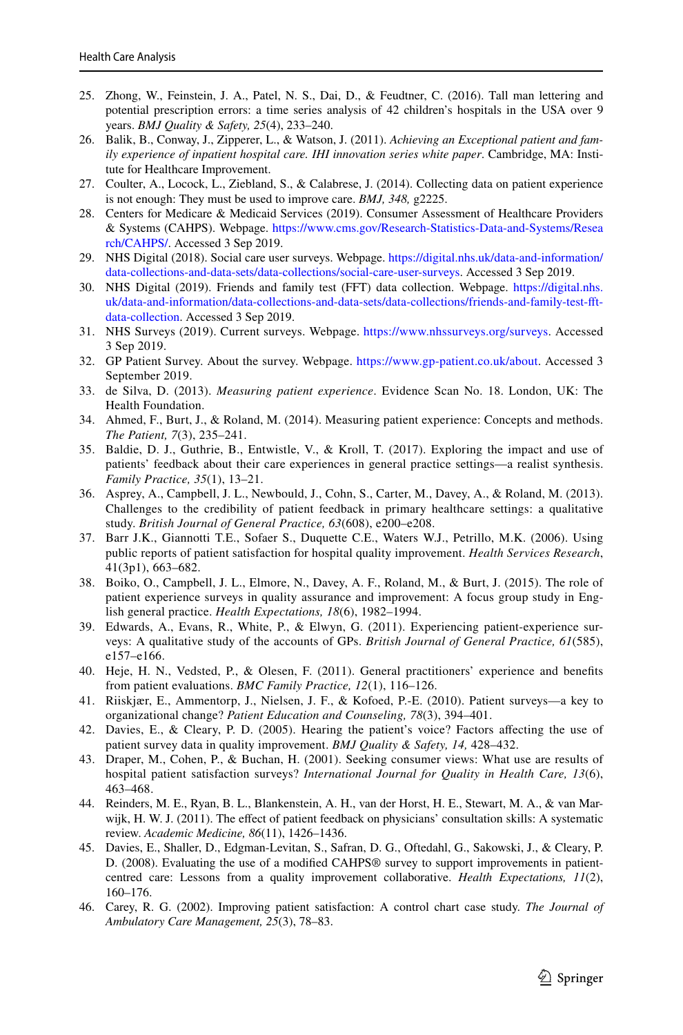- <span id="page-18-0"></span>25. Zhong, W., Feinstein, J. A., Patel, N. S., Dai, D., & Feudtner, C. (2016). Tall man lettering and potential prescription errors: a time series analysis of 42 children's hospitals in the USA over 9 years. *BMJ Quality & Safety, 25*(4), 233–240.
- <span id="page-18-1"></span>26. Balik, B., Conway, J., Zipperer, L., & Watson, J. (2011). *Achieving an Exceptional patient and family experience of inpatient hospital care. IHI innovation series white paper*. Cambridge, MA: Institute for Healthcare Improvement.
- <span id="page-18-2"></span>27. Coulter, A., Locock, L., Ziebland, S., & Calabrese, J. (2014). Collecting data on patient experience is not enough: They must be used to improve care. *BMJ, 348,* g2225.
- <span id="page-18-3"></span>28. Centers for Medicare & Medicaid Services (2019). Consumer Assessment of Healthcare Providers & Systems (CAHPS). Webpage. [https://www.cms.gov/Research-Statistics-Data-and-Systems/Resea](https://www.cms.gov/Research-Statistics-Data-and-Systems/Research/CAHPS/) [rch/CAHPS/](https://www.cms.gov/Research-Statistics-Data-and-Systems/Research/CAHPS/). Accessed 3 Sep 2019.
- <span id="page-18-4"></span>29. NHS Digital (2018). Social care user surveys. Webpage. [https://digital.nhs.uk/data-and-information/](https://digital.nhs.uk/data-and-information/data-collections-and-data-sets/data-collections/social-care-user-surveys) [data-collections-and-data-sets/data-collections/social-care-user-surveys](https://digital.nhs.uk/data-and-information/data-collections-and-data-sets/data-collections/social-care-user-surveys). Accessed 3 Sep 2019.
- 30. NHS Digital (2019). Friends and family test (FFT) data collection. Webpage. [https://digital.nhs.](https://digital.nhs.uk/data-and-information/data-collections-and-data-sets/data-collections/friends-and-family-test-fft-data-collection) [uk/data-and-information/data-collections-and-data-sets/data-collections/friends-and-family-test-ft](https://digital.nhs.uk/data-and-information/data-collections-and-data-sets/data-collections/friends-and-family-test-fft-data-collection)[data-collection.](https://digital.nhs.uk/data-and-information/data-collections-and-data-sets/data-collections/friends-and-family-test-fft-data-collection) Accessed 3 Sep 2019.
- 31. NHS Surveys (2019). Current surveys. Webpage. [https://www.nhssurveys.org/surveys.](https://www.nhssurveys.org/surveys) Accessed 3 Sep 2019.
- <span id="page-18-5"></span>32. GP Patient Survey. About the survey. Webpage. <https://www.gp-patient.co.uk/about>. Accessed 3 September 2019.
- <span id="page-18-6"></span>33. de Silva, D. (2013). *Measuring patient experience*. Evidence Scan No. 18. London, UK: The Health Foundation.
- <span id="page-18-7"></span>34. Ahmed, F., Burt, J., & Roland, M. (2014). Measuring patient experience: Concepts and methods. *The Patient, 7*(3), 235–241.
- <span id="page-18-8"></span>35. Baldie, D. J., Guthrie, B., Entwistle, V., & Kroll, T. (2017). Exploring the impact and use of patients' feedback about their care experiences in general practice settings—a realist synthesis. *Family Practice, 35*(1), 13–21.
- <span id="page-18-9"></span>36. Asprey, A., Campbell, J. L., Newbould, J., Cohn, S., Carter, M., Davey, A., & Roland, M. (2013). Challenges to the credibility of patient feedback in primary healthcare settings: a qualitative study. *British Journal of General Practice, 63*(608), e200–e208.
- <span id="page-18-15"></span>37. Barr J.K., Giannotti T.E., Sofaer S., Duquette C.E., Waters W.J., Petrillo, M.K. (2006). Using public reports of patient satisfaction for hospital quality improvement. *Health Services Research*, 41(3p1), 663–682.
- <span id="page-18-13"></span>38. Boiko, O., Campbell, J. L., Elmore, N., Davey, A. F., Roland, M., & Burt, J. (2015). The role of patient experience surveys in quality assurance and improvement: A focus group study in English general practice. *Health Expectations, 18*(6), 1982–1994.
- <span id="page-18-11"></span>39. Edwards, A., Evans, R., White, P., & Elwyn, G. (2011). Experiencing patient-experience surveys: A qualitative study of the accounts of GPs. *British Journal of General Practice, 61*(585), e157–e166.
- 40. Heje, H. N., Vedsted, P., & Olesen, F. (2011). General practitioners' experience and benefts from patient evaluations. *BMC Family Practice, 12*(1), 116–126.
- <span id="page-18-10"></span>41. Riiskjær, E., Ammentorp, J., Nielsen, J. F., & Kofoed, P.-E. (2010). Patient surveys—a key to organizational change? *Patient Education and Counseling, 78*(3), 394–401.
- <span id="page-18-12"></span>42. Davies, E., & Cleary, P. D. (2005). Hearing the patient's voice? Factors afecting the use of patient survey data in quality improvement. *BMJ Quality & Safety, 14,* 428–432.
- <span id="page-18-14"></span>43. Draper, M., Cohen, P., & Buchan, H. (2001). Seeking consumer views: What use are results of hospital patient satisfaction surveys? *International Journal for Quality in Health Care, 13*(6), 463–468.
- <span id="page-18-16"></span>44. Reinders, M. E., Ryan, B. L., Blankenstein, A. H., van der Horst, H. E., Stewart, M. A., & van Marwijk, H. W. J. (2011). The effect of patient feedback on physicians' consultation skills: A systematic review. *Academic Medicine, 86*(11), 1426–1436.
- <span id="page-18-17"></span>45. Davies, E., Shaller, D., Edgman-Levitan, S., Safran, D. G., Oftedahl, G., Sakowski, J., & Cleary, P. D. (2008). Evaluating the use of a modifed CAHPS® survey to support improvements in patientcentred care: Lessons from a quality improvement collaborative. *Health Expectations, 11*(2), 160–176.
- <span id="page-18-18"></span>46. Carey, R. G. (2002). Improving patient satisfaction: A control chart case study. *The Journal of Ambulatory Care Management, 25*(3), 78–83.